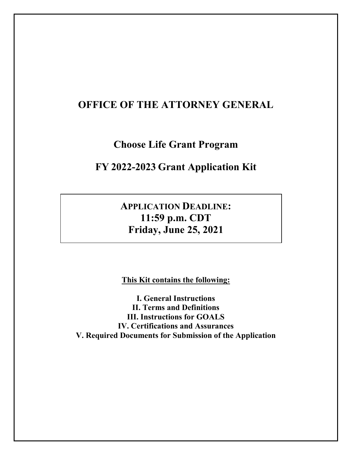## **OFFICE OF THE ATTORNEY GENERAL**

**Choose Life Grant Program**

## **FY 2022-2023 Grant Application Kit**

**APPLICATION DEADLINE: 11:59 p.m. CDT Friday, June 25, 2021**

**This Kit contains the following:**

**I. General Instructions II. Terms and Definitions III. Instructions for GOALS IV. Certifications and Assurances V. Required Documents for Submission of the Application**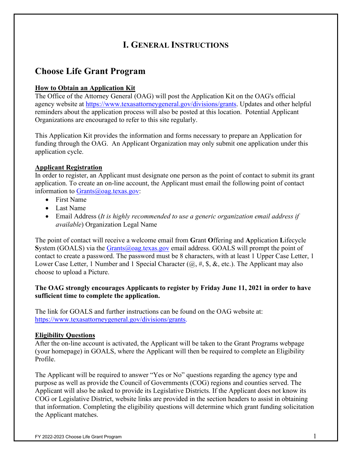# **I. GENERAL INSTRUCTIONS**

## **Choose Life Grant Program**

### **How to Obtain an Application Kit**

The Office of the Attorney General (OAG) will post the Application Kit on the OAG's official agency website at [https://www.texasattorneygeneral.gov/divisions/grants.](https://www.texasattorneygeneral.gov/divisions/grants) Updates and other helpful reminders about the application process will also be posted at this location. Potential Applicant Organizations are encouraged to refer to this site regularly.

This Application Kit provides the information and forms necessary to prepare an Application for funding through the OAG. An Applicant Organization may only submit one application under this application cycle.

### **Applicant Registration**

In order to register, an Applicant must designate one person as the point of contact to submit its grant application. To create an on-line account, the Applicant must email the following point of contact information to [Grants@oag.texas.gov:](mailto:Grants@oag.texas.gov)

- First Name
- Last Name
- Email Address (*It is highly recommended to use a generic organization email address if available*) Organization Legal Name

The point of contact will receive a welcome email from **G**rant **O**ffering and **A**pplication **L**ifecycle System (GOALS) via the [Grants@oag.texas.gov](mailto:Grants@oag.texas.gov) email address. GOALS will prompt the point of contact to create a password. The password must be 8 characters, with at least 1 Upper Case Letter, 1 Lower Case Letter, 1 Number and 1 Special Character  $(@, \#, \$\, \&, etc.)$ . The Applicant may also choose to upload a Picture.

### **The OAG strongly encourages Applicants to register by Friday June 11, 2021 in order to have sufficient time to complete the application.**

The link for GOALS and further instructions can be found on the OAG website at: [https://www.texasattorneygeneral.gov/divisions/grants.](https://www.texasattorneygeneral.gov/divisions/grants)

### **Eligibility Questions**

After the on-line account is activated, the Applicant will be taken to the Grant Programs webpage (your homepage) in GOALS, where the Applicant will then be required to complete an Eligibility Profile.

The Applicant will be required to answer "Yes or No" questions regarding the agency type and purpose as well as provide the Council of Governments (COG) regions and counties served. The Applicant will also be asked to provide its Legislative Districts. If the Applicant does not know its COG or Legislative District, website links are provided in the section headers to assist in obtaining that information. Completing the eligibility questions will determine which grant funding solicitation the Applicant matches.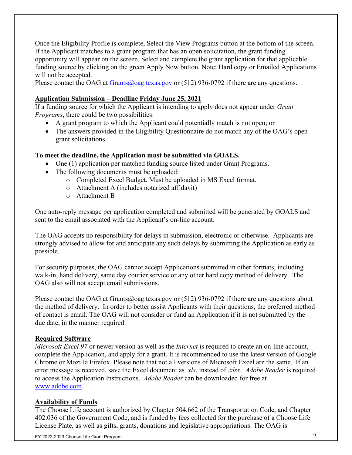Once the Eligibility Profile is complete, Select the View Programs button at the bottom of the screen. If the Applicant matches to a grant program that has an open solicitation, the grant funding opportunity will appear on the screen. Select and complete the grant application for that applicable funding source by clicking on the green Apply Now button. Note: Hard copy or Emailed Applications will not be accepted.

Please contact the OAG at  $Grants(\omega)$  oag.texas.gov or (512) 936-0792 if there are any questions.

#### **Application Submission – Deadline Friday June 25, 2021**

If a funding source for which the Applicant is intending to apply does not appear under *Grant Programs*, there could be two possibilities:

- A grant program to which the Applicant could potentially match is not open; or
- The answers provided in the Eligibility Questionnaire do not match any of the OAG's open grant solicitations.

#### **To meet the deadline, the Application must be submitted via GOALS.**

- One (1) application per matched funding source listed under Grant Programs.
- The following documents must be uploaded:
	- o Completed Excel Budget. Must be uploaded in MS Excel format.
	- o Attachment A (includes notarized affidavit)
	- o Attachment B

One auto-reply message per application completed and submitted will be generated by GOALS and sent to the email associated with the Applicant's on-line account.

The OAG accepts no responsibility for delays in submission, electronic or otherwise. Applicants are strongly advised to allow for and anticipate any such delays by submitting the Application as early as possible.

For security purposes, the OAG cannot accept Applications submitted in other formats, including walk-in, hand delivery, same day courier service or any other hard copy method of delivery. The OAG also will not accept email submissions.

Please contact the OAG at Grants@oag.texas.gov or  $(512)$  936-0792 if there are any questions about the method of delivery. In order to better assist Applicants with their questions, the preferred method of contact is email. The OAG will not consider or fund an Application if it is not submitted by the due date, in the manner required.

#### **Required Software**

*Microsoft Excel 97* or newer version as well as the *Internet* is required to create an on-line account, complete the Application, and apply for a grant. It is recommended to use the latest version of Google Chrome or Mozilla Firefox. Please note that not all versions of Microsoft Excel are the same. If an error message is received, save the Excel document as *.xls*, instead of .*xlsx. Adobe Reader* is required to access the Application Instructions. *Adobe Reader* can be downloaded for free at [www.adobe.com.](http://www.adobe.com/)

### **Availability of Funds**

The Choose Life account is authorized by Chapter 504.662 of the Transportation Code, and Chapter 402.036 of the Government Code, and is funded by fees collected for the purchase of a Choose Life License Plate, as well as gifts, grants, donations and legislative appropriations. The OAG is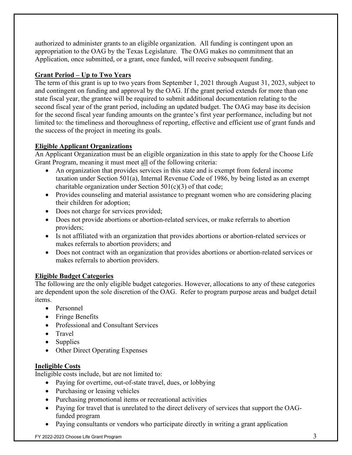authorized to administer grants to an eligible organization. All funding is contingent upon an appropriation to the OAG by the Texas Legislature. The OAG makes no commitment that an Application, once submitted, or a grant, once funded, will receive subsequent funding.

### **Grant Period – Up to Two Years**

The term of this grant is up to two years from September 1, 2021 through August 31, 2023, subject to and contingent on funding and approval by the OAG. If the grant period extends for more than one state fiscal year, the grantee will be required to submit additional documentation relating to the second fiscal year of the grant period, including an updated budget. The OAG may base its decision for the second fiscal year funding amounts on the grantee's first year performance, including but not limited to: the timeliness and thoroughness of reporting, effective and efficient use of grant funds and the success of the project in meeting its goals.

### **Eligible Applicant Organizations**

An Applicant Organization must be an eligible organization in this state to apply for the Choose Life Grant Program, meaning it must meet all of the following criteria:

- An organization that provides services in this state and is exempt from federal income taxation under Section 501(a), Internal Revenue Code of 1986, by being listed as an exempt charitable organization under Section 501(c)(3) of that code;
- Provides counseling and material assistance to pregnant women who are considering placing their children for adoption;
- Does not charge for services provided;
- Does not provide abortions or abortion-related services, or make referrals to abortion providers;
- Is not affiliated with an organization that provides abortions or abortion-related services or makes referrals to abortion providers; and
- Does not contract with an organization that provides abortions or abortion-related services or makes referrals to abortion providers.

### **Eligible Budget Categories**

The following are the only eligible budget categories. However, allocations to any of these categories are dependent upon the sole discretion of the OAG. Refer to program purpose areas and budget detail items.

- Personnel
- Fringe Benefits
- Professional and Consultant Services
- Travel
- Supplies
- Other Direct Operating Expenses

### **Ineligible Costs**

Ineligible costs include, but are not limited to:

- Paying for overtime, out-of-state travel, dues, or lobbying
- Purchasing or leasing vehicles
- Purchasing promotional items or recreational activities
- Paying for travel that is unrelated to the direct delivery of services that support the OAGfunded program
- Paying consultants or vendors who participate directly in writing a grant application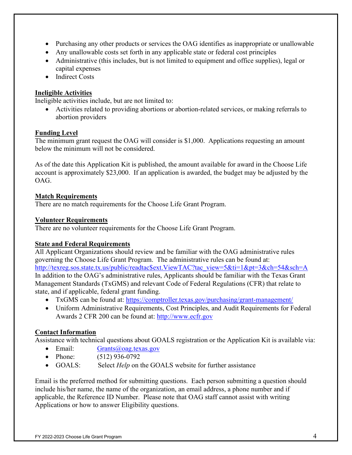- Purchasing any other products or services the OAG identifies as inappropriate or unallowable
- Any unallowable costs set forth in any applicable state or federal cost principles
- Administrative (this includes, but is not limited to equipment and office supplies), legal or capital expenses
- Indirect Costs

### **Ineligible Activities**

Ineligible activities include, but are not limited to:

• Activities related to providing abortions or abortion-related services, or making referrals to abortion providers

#### **Funding Level**

The minimum grant request the OAG will consider is \$1,000. Applications requesting an amount below the minimum will not be considered.

As of the date this Application Kit is published, the amount available for award in the Choose Life account is approximately \$23,000. If an application is awarded, the budget may be adjusted by the OAG.

#### **Match Requirements**

There are no match requirements for the Choose Life Grant Program.

#### **Volunteer Requirements**

There are no volunteer requirements for the Choose Life Grant Program.

### **State and Federal Requirements**

All Applicant Organizations should review and be familiar with the OAG administrative rules governing the Choose Life Grant Program. The administrative rules can be found at: [http://texreg.sos.state.tx.us/public/readtac\\$ext.ViewTAC?tac\\_view=5&ti=1&pt=3&ch=54&sch=A](http://texreg.sos.state.tx.us/public/readtac$ext.ViewTAC?tac_view=5&ti=1&pt=3&ch=54&sch=A) In addition to the OAG's administrative rules, Applicants should be familiar with the Texas Grant Management Standards (TxGMS) and relevant Code of Federal Regulations (CFR) that relate to state, and if applicable, federal grant funding.

- TxGMS can be found at:<https://comptroller.texas.gov/purchasing/grant-management/>
- Uniform Administrative Requirements, Cost Principles, and Audit Requirements for Federal Awards 2 CFR 200 can be found at: [http://www.ecfr.gov](http://www.ecfr.gov/)

### **Contact Information**

Assistance with technical questions about GOALS registration or the Application Kit is available via:

- Email: [Grants@oag.texas.gov](mailto:Grants@oag.texas.gov)
- Phone:  $(512) 936-0792$
- GOALS: Select *Help* on the GOALS website for further assistance

Email is the preferred method for submitting questions. Each person submitting a question should include his/her name, the name of the organization, an email address, a phone number and if applicable, the Reference ID Number. Please note that OAG staff cannot assist with writing Applications or how to answer Eligibility questions.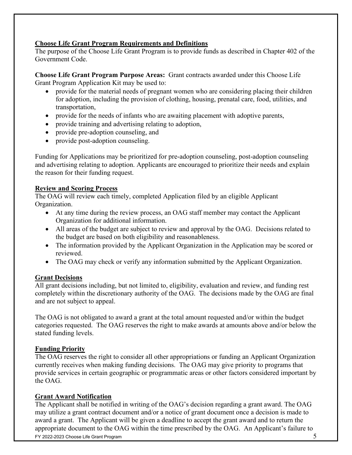#### **Choose Life Grant Program Requirements and Definitions**

The purpose of the Choose Life Grant Program is to provide funds as described in Chapter 402 of the Government Code.

**Choose Life Grant Program Purpose Areas:** Grant contracts awarded under this Choose Life Grant Program Application Kit may be used to:

- provide for the material needs of pregnant women who are considering placing their children for adoption, including the provision of clothing, housing, prenatal care, food, utilities, and transportation,
- provide for the needs of infants who are awaiting placement with adoptive parents,
- provide training and advertising relating to adoption,
- provide pre-adoption counseling, and
- provide post-adoption counseling.

Funding for Applications may be prioritized for pre-adoption counseling, post-adoption counseling and advertising relating to adoption. Applicants are encouraged to prioritize their needs and explain the reason for their funding request.

### **Review and Scoring Process**

The OAG will review each timely, completed Application filed by an eligible Applicant Organization.

- At any time during the review process, an OAG staff member may contact the Applicant Organization for additional information.
- All areas of the budget are subject to review and approval by the OAG. Decisions related to the budget are based on both eligibility and reasonableness.
- The information provided by the Applicant Organization in the Application may be scored or reviewed.
- The OAG may check or verify any information submitted by the Applicant Organization.

### **Grant Decisions**

All grant decisions including, but not limited to, eligibility, evaluation and review, and funding rest completely within the discretionary authority of the OAG. The decisions made by the OAG are final and are not subject to appeal.

The OAG is not obligated to award a grant at the total amount requested and/or within the budget categories requested. The OAG reserves the right to make awards at amounts above and/or below the stated funding levels.

### **Funding Priority**

The OAG reserves the right to consider all other appropriations or funding an Applicant Organization currently receives when making funding decisions. The OAG may give priority to programs that provide services in certain geographic or programmatic areas or other factors considered important by the OAG.

### **Grant Award Notification**

FY 2022-2023 Choose Life Grant Program 5 The Applicant shall be notified in writing of the OAG's decision regarding a grant award. The OAG may utilize a grant contract document and/or a notice of grant document once a decision is made to award a grant. The Applicant will be given a deadline to accept the grant award and to return the appropriate document to the OAG within the time prescribed by the OAG. An Applicant's failure to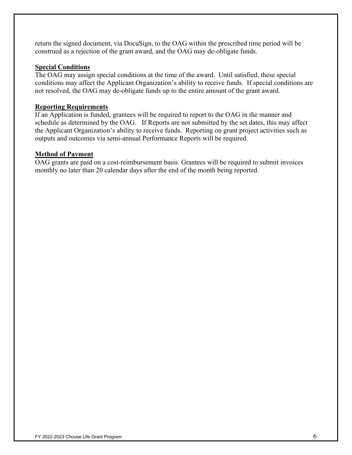return the signed document, via DocuSign, to the OAG within the prescribed time period will be construed as a rejection of the grant award, and the OAG may de-obligate funds.

#### **Special Conditions**

The OAG may assign special conditions at the time of the award. Until satisfied, these special conditions may affect the Applicant Organization's ability to receive funds. If special conditions are not resolved, the OAG may de-obligate funds up to the entire amount of the grant award.

#### **Reporting Requirements**

If an Application is funded, grantees will be required to report to the OAG in the manner and schedule as determined by the OAG. If Reports are not submitted by the set dates, this may affect the Applicant Organization's ability to receive funds. Reporting on grant project activities such as outputs and outcomes via semi-annual Performance Reports will be required.

#### **Method of Payment**

OAG grants are paid on a cost-reimbursement basis. Grantees will be required to submit invoices monthly no later than 20 calendar days after the end of the month being reported.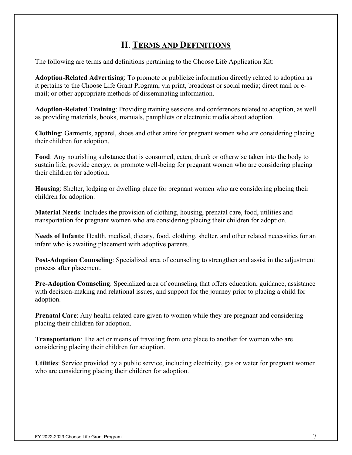## **II**. **TERMS AND DEFINITIONS**

The following are terms and definitions pertaining to the Choose Life Application Kit:

**Adoption-Related Advertising**: To promote or publicize information directly related to adoption as it pertains to the Choose Life Grant Program, via print, broadcast or social media; direct mail or email; or other appropriate methods of disseminating information.

**Adoption-Related Training**: Providing training sessions and conferences related to adoption, as well as providing materials, books, manuals, pamphlets or electronic media about adoption.

**Clothing**: Garments, apparel, shoes and other attire for pregnant women who are considering placing their children for adoption.

**Food**: Any nourishing substance that is consumed, eaten, drunk or otherwise taken into the body to sustain life, provide energy, or promote well-being for pregnant women who are considering placing their children for adoption.

**Housing**: Shelter, lodging or dwelling place for pregnant women who are considering placing their children for adoption.

**Material Needs**: Includes the provision of clothing, housing, prenatal care, food, utilities and transportation for pregnant women who are considering placing their children for adoption.

**Needs of Infants**: Health, medical, dietary, food, clothing, shelter, and other related necessities for an infant who is awaiting placement with adoptive parents.

**Post-Adoption Counseling**: Specialized area of counseling to strengthen and assist in the adjustment process after placement.

**Pre-Adoption Counseling**: Specialized area of counseling that offers education, guidance, assistance with decision-making and relational issues, and support for the journey prior to placing a child for adoption.

**Prenatal Care**: Any health-related care given to women while they are pregnant and considering placing their children for adoption.

**Transportation**: The act or means of traveling from one place to another for women who are considering placing their children for adoption.

**Utilities**: Service provided by a public service, including electricity, gas or water for pregnant women who are considering placing their children for adoption.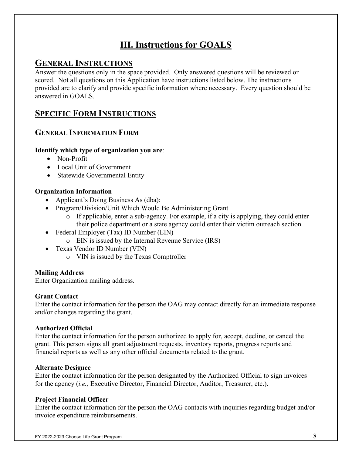# **III. Instructions for GOALS**

## **GENERAL INSTRUCTIONS**

Answer the questions only in the space provided. Only answered questions will be reviewed or scored. Not all questions on this Application have instructions listed below. The instructions provided are to clarify and provide specific information where necessary. Every question should be answered in GOALS.

## **SPECIFIC FORM INSTRUCTIONS**

## **GENERAL INFORMATION FORM**

### **Identify which type of organization you are**:

- Non-Profit
- Local Unit of Government
- Statewide Governmental Entity

### **Organization Information**

- Applicant's Doing Business As (dba):
- Program/Division/Unit Which Would Be Administering Grant
	- o If applicable, enter a sub-agency. For example, if a city is applying, they could enter their police department or a state agency could enter their victim outreach section.
- Federal Employer (Tax) ID Number (EIN)
	- o EIN is issued by the Internal Revenue Service (IRS)
- Texas Vendor ID Number (VIN)
	- o VIN is issued by the Texas Comptroller

### **Mailing Address**

Enter Organization mailing address.

### **Grant Contact**

Enter the contact information for the person the OAG may contact directly for an immediate response and/or changes regarding the grant.

### **Authorized Official**

Enter the contact information for the person authorized to apply for, accept, decline, or cancel the grant. This person signs all grant adjustment requests, inventory reports, progress reports and financial reports as well as any other official documents related to the grant.

### **Alternate Designee**

Enter the contact information for the person designated by the Authorized Official to sign invoices for the agency (*i.e.,* Executive Director, Financial Director, Auditor, Treasurer, etc.).

### **Project Financial Officer**

Enter the contact information for the person the OAG contacts with inquiries regarding budget and/or invoice expenditure reimbursements.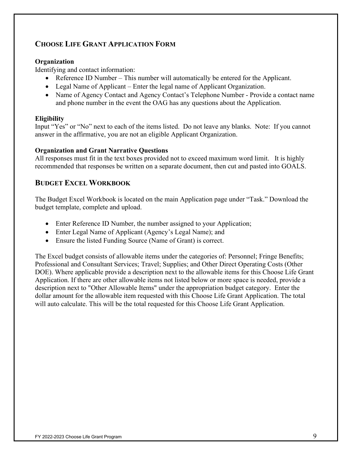## **CHOOSE LIFE GRANT APPLICATION FORM**

### **Organization**

Identifying and contact information:

- Reference ID Number This number will automatically be entered for the Applicant.
- Legal Name of Applicant Enter the legal name of Applicant Organization.
- Name of Agency Contact and Agency Contact's Telephone Number Provide a contact name and phone number in the event the OAG has any questions about the Application.

### **Eligibility**

Input "Yes" or "No" next to each of the items listed. Do not leave any blanks. Note: If you cannot answer in the affirmative, you are not an eligible Applicant Organization.

### **Organization and Grant Narrative Questions**

All responses must fit in the text boxes provided not to exceed maximum word limit. It is highly recommended that responses be written on a separate document, then cut and pasted into GOALS.

## **BUDGET EXCEL WORKBOOK**

The Budget Excel Workbook is located on the main Application page under "Task." Download the budget template, complete and upload.

- Enter Reference ID Number, the number assigned to your Application;
- Enter Legal Name of Applicant (Agency's Legal Name); and
- Ensure the listed Funding Source (Name of Grant) is correct.

The Excel budget consists of allowable items under the categories of: Personnel; Fringe Benefits; Professional and Consultant Services; Travel; Supplies; and Other Direct Operating Costs (Other DOE). Where applicable provide a description next to the allowable items for this Choose Life Grant Application. If there are other allowable items not listed below or more space is needed, provide a description next to "Other Allowable Items" under the appropriation budget category. Enter the dollar amount for the allowable item requested with this Choose Life Grant Application. The total will auto calculate. This will be the total requested for this Choose Life Grant Application.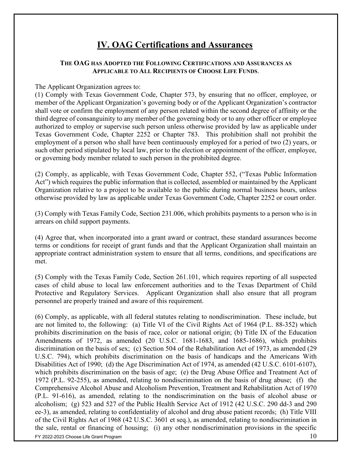## **IV. OAG Certifications and Assurances**

#### **THE OAG HAS ADOPTED THE FOLLOWING CERTIFICATIONS AND ASSURANCES AS APPLICABLE TO ALL RECIPIENTS OF CHOOSE LIFE FUNDS**.

#### The Applicant Organization agrees to:

(1) Comply with Texas Government Code, Chapter 573, by ensuring that no officer, employee, or member of the Applicant Organization's governing body or of the Applicant Organization's contractor shall vote or confirm the employment of any person related within the second degree of affinity or the third degree of consanguinity to any member of the governing body or to any other officer or employee authorized to employ or supervise such person unless otherwise provided by law as applicable under Texas Government Code, Chapter 2252 or Chapter 783. This prohibition shall not prohibit the employment of a person who shall have been continuously employed for a period of two (2) years, or such other period stipulated by local law, prior to the election or appointment of the officer, employee, or governing body member related to such person in the prohibited degree.

(2) Comply, as applicable, with Texas Government Code, Chapter 552, ("Texas Public Information Act") which requires the public information that is collected, assembled or maintained by the Applicant Organization relative to a project to be available to the public during normal business hours, unless otherwise provided by law as applicable under Texas Government Code, Chapter 2252 or court order.

(3) Comply with Texas Family Code, Section 231.006, which prohibits payments to a person who is in arrears on child support payments.

(4) Agree that, when incorporated into a grant award or contract, these standard assurances become terms or conditions for receipt of grant funds and that the Applicant Organization shall maintain an appropriate contract administration system to ensure that all terms, conditions, and specifications are met.

(5) Comply with the Texas Family Code, Section 261.101, which requires reporting of all suspected cases of child abuse to local law enforcement authorities and to the Texas Department of Child Protective and Regulatory Services. Applicant Organization shall also ensure that all program personnel are properly trained and aware of this requirement.

FY 2022-2023 Choose Life Grant Program  $10$ (6) Comply, as applicable, with all federal statutes relating to nondiscrimination. These include, but are not limited to, the following: (a) Title VI of the Civil Rights Act of 1964 (P.L. 88-352) which prohibits discrimination on the basis of race, color or national origin; (b) Title IX of the Education Amendments of 1972, as amended (20 U.S.C. 1681-1683, and 1685-1686), which prohibits discrimination on the basis of sex; (c) Section 504 of the Rehabilitation Act of 1973, as amended (29 U.S.C. 794), which prohibits discrimination on the basis of handicaps and the Americans With Disabilities Act of 1990; (d) the Age Discrimination Act of 1974, as amended (42 U.S.C. 6101-6107), which prohibits discrimination on the basis of age; (e) the Drug Abuse Office and Treatment Act of 1972 (P.L. 92-255), as amended, relating to nondiscrimination on the basis of drug abuse; (f) the Comprehensive Alcohol Abuse and Alcoholism Prevention, Treatment and Rehabilitation Act of 1970 (P.L. 91-616), as amended, relating to the nondiscrimination on the basis of alcohol abuse or alcoholism; (g) 523 and 527 of the Public Health Service Act of 1912 (42 U.S.C. 290 dd-3 and 290 ee-3), as amended, relating to confidentiality of alcohol and drug abuse patient records; (h) Title VIII of the Civil Rights Act of 1968 (42 U.S.C. 3601 et seq.), as amended, relating to nondiscrimination in the sale, rental or financing of housing; (i) any other nondiscrimination provisions in the specific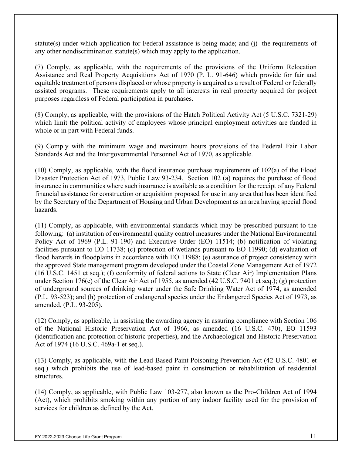statute(s) under which application for Federal assistance is being made; and (j) the requirements of any other nondiscrimination statute(s) which may apply to the application.

(7) Comply, as applicable, with the requirements of the provisions of the Uniform Relocation Assistance and Real Property Acquisitions Act of 1970 (P. L. 91-646) which provide for fair and equitable treatment of persons displaced or whose property is acquired as a result of Federal or federally assisted programs. These requirements apply to all interests in real property acquired for project purposes regardless of Federal participation in purchases.

(8) Comply, as applicable, with the provisions of the Hatch Political Activity Act (5 U.S.C. 7321-29) which limit the political activity of employees whose principal employment activities are funded in whole or in part with Federal funds.

(9) Comply with the minimum wage and maximum hours provisions of the Federal Fair Labor Standards Act and the Intergovernmental Personnel Act of 1970, as applicable.

(10) Comply, as applicable, with the flood insurance purchase requirements of 102(a) of the Flood Disaster Protection Act of 1973, Public Law 93-234. Section 102 (a) requires the purchase of flood insurance in communities where such insurance is available as a condition for the receipt of any Federal financial assistance for construction or acquisition proposed for use in any area that has been identified by the Secretary of the Department of Housing and Urban Development as an area having special flood hazards.

(11) Comply, as applicable, with environmental standards which may be prescribed pursuant to the following: (a) institution of environmental quality control measures under the National Environmental Policy Act of 1969 (P.L. 91-190) and Executive Order (EO) 11514; (b) notification of violating facilities pursuant to EO 11738; (c) protection of wetlands pursuant to EO 11990; (d) evaluation of flood hazards in floodplains in accordance with EO 11988; (e) assurance of project consistency with the approved State management program developed under the Coastal Zone Management Act of 1972 (16 U.S.C. 1451 et seq.); (f) conformity of federal actions to State (Clear Air) Implementation Plans under Section 176(c) of the Clear Air Act of 1955, as amended (42 U.S.C. 7401 et seq.); (g) protection of underground sources of drinking water under the Safe Drinking Water Act of 1974, as amended (P.L. 93-523); and (h) protection of endangered species under the Endangered Species Act of 1973, as amended, (P.L. 93-205).

(12) Comply, as applicable, in assisting the awarding agency in assuring compliance with Section 106 of the National Historic Preservation Act of 1966, as amended (16 U.S.C. 470), EO 11593 (identification and protection of historic properties), and the Archaeological and Historic Preservation Act of 1974 (16 U.S.C. 469a-1 et seq.).

(13) Comply, as applicable, with the Lead-Based Paint Poisoning Prevention Act (42 U.S.C. 4801 et seq.) which prohibits the use of lead-based paint in construction or rehabilitation of residential structures.

(14) Comply, as applicable, with Public Law 103-277, also known as the Pro-Children Act of 1994 (Act), which prohibits smoking within any portion of any indoor facility used for the provision of services for children as defined by the Act.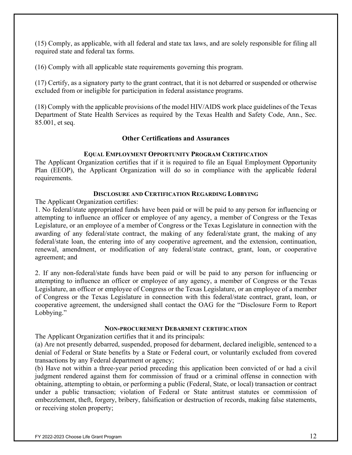(15) Comply, as applicable, with all federal and state tax laws, and are solely responsible for filing all required state and federal tax forms.

(16) Comply with all applicable state requirements governing this program.

(17) Certify, as a signatory party to the grant contract, that it is not debarred or suspended or otherwise excluded from or ineligible for participation in federal assistance programs.

(18) Comply with the applicable provisions of the model HIV/AIDS work place guidelines of the Texas Department of State Health Services as required by the Texas Health and Safety Code, Ann., Sec. 85.001, et seq.

#### **Other Certifications and Assurances**

#### **EQUAL EMPLOYMENT OPPORTUNITY PROGRAM CERTIFICATION**

The Applicant Organization certifies that if it is required to file an Equal Employment Opportunity Plan (EEOP), the Applicant Organization will do so in compliance with the applicable federal requirements.

#### **DISCLOSURE AND CERTIFICATION REGARDING LOBBYING**

The Applicant Organization certifies:

1. No federal/state appropriated funds have been paid or will be paid to any person for influencing or attempting to influence an officer or employee of any agency, a member of Congress or the Texas Legislature, or an employee of a member of Congress or the Texas Legislature in connection with the awarding of any federal/state contract, the making of any federal/state grant, the making of any federal/state loan, the entering into of any cooperative agreement, and the extension, continuation, renewal, amendment, or modification of any federal/state contract, grant, loan, or cooperative agreement; and

2. If any non-federal/state funds have been paid or will be paid to any person for influencing or attempting to influence an officer or employee of any agency, a member of Congress or the Texas Legislature, an officer or employee of Congress or the Texas Legislature, or an employee of a member of Congress or the Texas Legislature in connection with this federal/state contract, grant, loan, or cooperative agreement, the undersigned shall contact the OAG for the "Disclosure Form to Report Lobbying."

#### **NON-PROCUREMENT DEBARMENT CERTIFICATION**

The Applicant Organization certifies that it and its principals:

(a) Are not presently debarred, suspended, proposed for debarment, declared ineligible, sentenced to a denial of Federal or State benefits by a State or Federal court, or voluntarily excluded from covered transactions by any Federal department or agency;

(b) Have not within a three-year period preceding this application been convicted of or had a civil judgment rendered against them for commission of fraud or a criminal offense in connection with obtaining, attempting to obtain, or performing a public (Federal, State, or local) transaction or contract under a public transaction; violation of Federal or State antitrust statutes or commission of embezzlement, theft, forgery, bribery, falsification or destruction of records, making false statements, or receiving stolen property;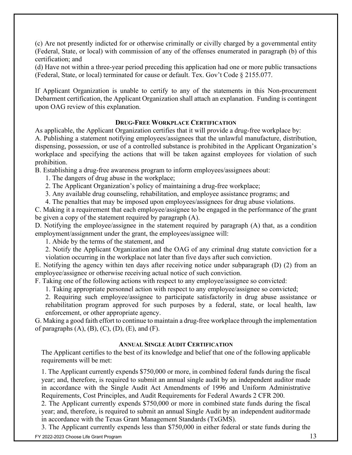(c) Are not presently indicted for or otherwise criminally or civilly charged by a governmental entity (Federal, State, or local) with commission of any of the offenses enumerated in paragraph (b) of this certification; and

(d) Have not within a three-year period preceding this application had one or more public transactions (Federal, State, or local) terminated for cause or default. Tex. Gov't Code § 2155.077.

If Applicant Organization is unable to certify to any of the statements in this Non-procurement Debarment certification, the Applicant Organization shall attach an explanation. Funding is contingent upon OAG review of this explanation.

#### **DRUG-FREE WORKPLACE CERTIFICATION**

As applicable, the Applicant Organization certifies that it will provide a drug-free workplace by: A. Publishing a statement notifying employees/assignees that the unlawful manufacture, distribution, dispensing, possession, or use of a controlled substance is prohibited in the Applicant Organization's workplace and specifying the actions that will be taken against employees for violation of such prohibition.

B. Establishing a drug-free awareness program to inform employees/assignees about:

1. The dangers of drug abuse in the workplace;

2. The Applicant Organization's policy of maintaining a drug-free workplace;

3. Any available drug counseling, rehabilitation, and employee assistance programs; and

4. The penalties that may be imposed upon employees/assignees for drug abuse violations.

C. Making it a requirement that each employee/assignee to be engaged in the performance of the grant be given a copy of the statement required by paragraph (A).

D. Notifying the employee/assignee in the statement required by paragraph (A) that, as a condition employment/assignment under the grant, the employees/assignee will:

1. Abide by the terms of the statement, and

2. Notify the Applicant Organization and the OAG of any criminal drug statute conviction for a violation occurring in the workplace not later than five days after such conviction.

E. Notifying the agency within ten days after receiving notice under subparagraph (D) (2) from an employee/assignee or otherwise receiving actual notice of such conviction.

F. Taking one of the following actions with respect to any employee/assignee so convicted:

1. Taking appropriate personnel action with respect to any employee/assignee so convicted;

2. Requiring such employee/assignee to participate satisfactorily in drug abuse assistance or rehabilitation program approved for such purposes by a federal, state, or local health, law enforcement, or other appropriate agency.

G. Making a good faith effort to continue to maintain a drug-free workplace through the implementation of paragraphs  $(A)$ ,  $(B)$ ,  $(C)$ ,  $(D)$ ,  $(E)$ , and  $(F)$ .

### **ANNUAL SINGLE AUDIT CERTIFICATION**

The Applicant certifies to the best of its knowledge and belief that one of the following applicable requirements will be met:

1. The Applicant currently expends \$750,000 or more, in combined federal funds during the fiscal year; and, therefore, is required to submit an annual single audit by an independent auditor made in accordance with the Single Audit Act Amendments of 1996 and Uniform Administrative Requirements, Cost Principles, and Audit Requirements for Federal Awards 2 CFR 200.

2. The Applicant currently expends \$750,000 or more in combined state funds during the fiscal year; and, therefore, is required to submit an annual Single Audit by an independent auditormade in accordance with the Texas Grant Management Standards (TxGMS).

3. The Applicant currently expends less than \$750,000 in either federal or state funds during the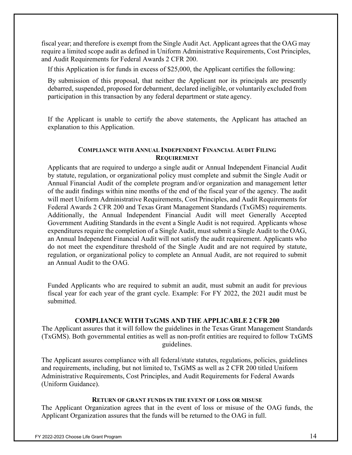fiscal year; and therefore is exempt from the Single Audit Act. Applicant agrees that the OAG may require a limited scope audit as defined in Uniform Administrative Requirements, Cost Principles, and Audit Requirements for Federal Awards 2 CFR 200.

If this Application is for funds in excess of \$25,000, the Applicant certifies the following:

By submission of this proposal, that neither the Applicant nor its principals are presently debarred, suspended, proposed for debarment, declared ineligible, or voluntarily excluded from participation in this transaction by any federal department or state agency.

If the Applicant is unable to certify the above statements, the Applicant has attached an explanation to this Application.

#### **COMPLIANCE WITH ANNUAL INDEPENDENT FINANCIAL AUDIT FILING REQUIREMENT**

Applicants that are required to undergo a single audit or Annual Independent Financial Audit by statute, regulation, or organizational policy must complete and submit the Single Audit or Annual Financial Audit of the complete program and/or organization and management letter of the audit findings within nine months of the end of the fiscal year of the agency. The audit will meet Uniform Administrative Requirements, Cost Principles, and Audit Requirements for Federal Awards 2 CFR 200 and Texas Grant Management Standards (TxGMS) requirements. Additionally, the Annual Independent Financial Audit will meet Generally Accepted Government Auditing Standards in the event a Single Audit is not required. Applicants whose expenditures require the completion of a Single Audit, must submit a Single Audit to the OAG, an Annual Independent Financial Audit will not satisfy the audit requirement. Applicants who do not meet the expenditure threshold of the Single Audit and are not required by statute, regulation, or organizational policy to complete an Annual Audit, are not required to submit an Annual Audit to the OAG.

Funded Applicants who are required to submit an audit, must submit an audit for previous fiscal year for each year of the grant cycle. Example: For FY 2022, the 2021 audit must be submitted.

### **COMPLIANCE WITH TXGMS AND THE APPLICABLE 2 CFR 200**

The Applicant assures that it will follow the guidelines in the Texas Grant Management Standards (TxGMS). Both governmental entities as well as non-profit entities are required to follow TxGMS guidelines.

The Applicant assures compliance with all federal/state statutes, regulations, policies, guidelines and requirements, including, but not limited to, TxGMS as well as 2 CFR 200 titled Uniform Administrative Requirements, Cost Principles, and Audit Requirements for Federal Awards (Uniform Guidance).

#### **RETURN OF GRANT FUNDS IN THE EVENT OF LOSS OR MISUSE**

The Applicant Organization agrees that in the event of loss or misuse of the OAG funds, the Applicant Organization assures that the funds will be returned to the OAG in full.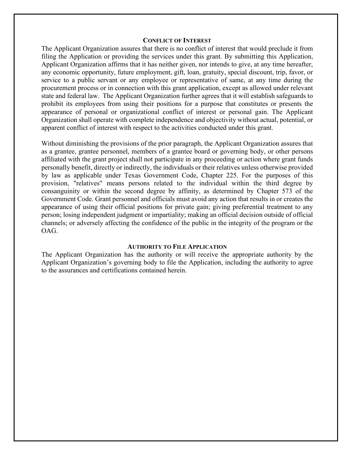#### **CONFLICT OF INTEREST**

The Applicant Organization assures that there is no conflict of interest that would preclude it from filing the Application or providing the services under this grant. By submitting this Application, Applicant Organization affirms that it has neither given, nor intends to give, at any time hereafter, any economic opportunity, future employment, gift, loan, gratuity, special discount, trip, favor, or service to a public servant or any employee or representative of same, at any time during the procurement process or in connection with this grant application, except as allowed under relevant state and federal law. The Applicant Organization further agrees that it will establish safeguards to prohibit its employees from using their positions for a purpose that constitutes or presents the appearance of personal or organizational conflict of interest or personal gain. The Applicant Organization shall operate with complete independence and objectivity without actual, potential, or apparent conflict of interest with respect to the activities conducted under this grant.

Without diminishing the provisions of the prior paragraph, the Applicant Organization assures that as a grantee, grantee personnel, members of a grantee board or governing body, or other persons affiliated with the grant project shall not participate in any proceeding or action where grant funds personally benefit, directly or indirectly, the individuals or their relatives unless otherwise provided by law as applicable under Texas Government Code, Chapter 225. For the purposes of this provision, "relatives" means persons related to the individual within the third degree by consanguinity or within the second degree by affinity, as determined by Chapter 573 of the Government Code. Grant personnel and officials must avoid any action that results in or creates the appearance of using their official positions for private gain; giving preferential treatment to any person; losing independent judgment or impartiality; making an official decision outside of official channels; or adversely affecting the confidence of the public in the integrity of the program or the OAG.

#### **AUTHORITY TO FILE APPLICATION**

The Applicant Organization has the authority or will receive the appropriate authority by the Applicant Organization's governing body to file the Application, including the authority to agree to the assurances and certifications contained herein.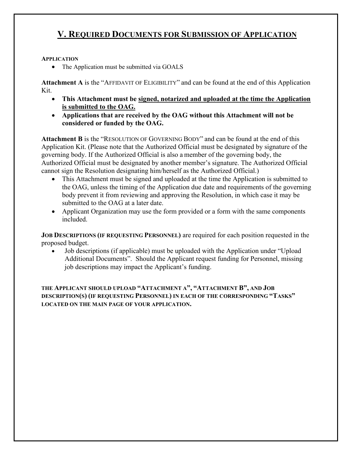## **V. REQUIRED DOCUMENTS FOR SUBMISSION OF APPLICATION**

#### **APPLICATION**

• The Application must be submitted via GOALS

**Attachment A** is the "AFFIDAVIT OF ELIGIBILITY" and can be found at the end of this Application Kit.

- **This Attachment must be signed, notarized and uploaded at the time the Application is submitted to the OAG.**
- **Applications that are received by the OAG without this Attachment will not be considered or funded by the OAG.**

**Attachment B** is the "RESOLUTION OF GOVERNING BODY" and can be found at the end of this Application Kit. (Please note that the Authorized Official must be designated by signature of the governing body. If the Authorized Official is also a member of the governing body, the Authorized Official must be designated by another member's signature. The Authorized Official cannot sign the Resolution designating him/herself as the Authorized Official.)

- This Attachment must be signed and uploaded at the time the Application is submitted to the OAG, unless the timing of the Application due date and requirements of the governing body prevent it from reviewing and approving the Resolution, in which case it may be submitted to the OAG at a later date.
- Applicant Organization may use the form provided or a form with the same components included.

**JOB DESCRIPTIONS (IF REQUESTING PERSONNEL)** are required for each position requested in the proposed budget.

• Job descriptions (if applicable) must be uploaded with the Application under "Upload Additional Documents". Should the Applicant request funding for Personnel, missing job descriptions may impact the Applicant's funding.

**THE APPLICANT SHOULD UPLOAD "ATTACHMENT A", "ATTACHMENT B", AND JOB DESCRIPTION(S) (IF REQUESTING PERSONNEL) IN EACH OF THE CORRESPONDING "TASKS" LOCATED ON THE MAIN PAGE OF YOUR APPLICATION.**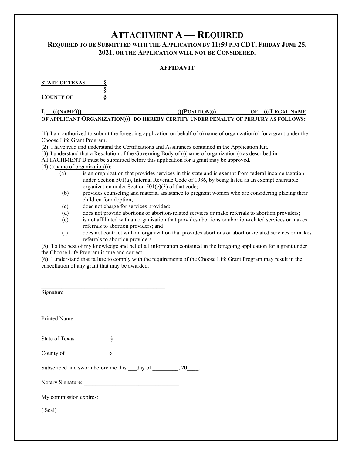# **ATTACHMENT A — REQUIRED**

#### **REQUIRED TO BE SUBMITTED WITH THE APPLICATION BY 11:59 P.M CDT, FRIDAY JUNE 25, 2021, OR THE APPLICATION WILL NOT BE CONSIDERED.**

#### **AFFIDAVIT**

**STATE OF TEXAS § § COUNTY OF §**

#### **I, \_\_(((NAME)))\_\_\_\_\_\_\_\_\_\_\_\_\_\_\_\_\_\_\_\_\_\_\_\_\_\_\_, \_\_(((POSITION)))\_\_\_\_\_\_\_\_\_\_\_OF, \_(((LEGAL NAME OF APPLICANT ORGANIZATION)))\_DO HEREBY CERTIFY UNDER PENALTY OF PERJURY AS FOLLOWS:**

(1) I am authorized to submit the foregoing application on behalf of  $(((\text{name of organization}))$  for a grant under the Choose Life Grant Program.

(2) I have read and understand the Certifications and Assurances contained in the Application Kit.

(3) I understand that a Resolution of the Governing Body of (((name of organization))) as described in

ATTACHMENT B must be submitted before this application for a grant may be approved.

(4) (((name of organization))):

- (a) is an organization that provides services in this state and is exempt from federal income taxation under Section 501(a), Internal Revenue Code of 1986, by being listed as an exempt charitable organization under Section  $501(c)(3)$  of that code;
- (b) provides counseling and material assistance to pregnant women who are considering placing their children for adoption;
- (c) does not charge for services provided;
- (d) does not provide abortions or abortion-related services or make referrals to abortion providers;
- (e) is not affiliated with an organization that provides abortions or abortion-related services or makes referrals to abortion providers; and
- (f) does not contract with an organization that provides abortions or abortion-related services or makes referrals to abortion providers.

(5) To the best of my knowledge and belief all information contained in the foregoing application for a grant under the Choose Life Program is true and correct.

(6) I understand that failure to comply with the requirements of the Choose Life Grant Program may result in the cancellation of any grant that may be awarded.

| Signature                                        |  |
|--------------------------------------------------|--|
| <b>Printed Name</b>                              |  |
| State of Texas<br>§                              |  |
| County of<br>8                                   |  |
| Subscribed and sworn before me this day of 30 30 |  |
| Notary Signature:                                |  |
| My commission expires:                           |  |

( Seal)